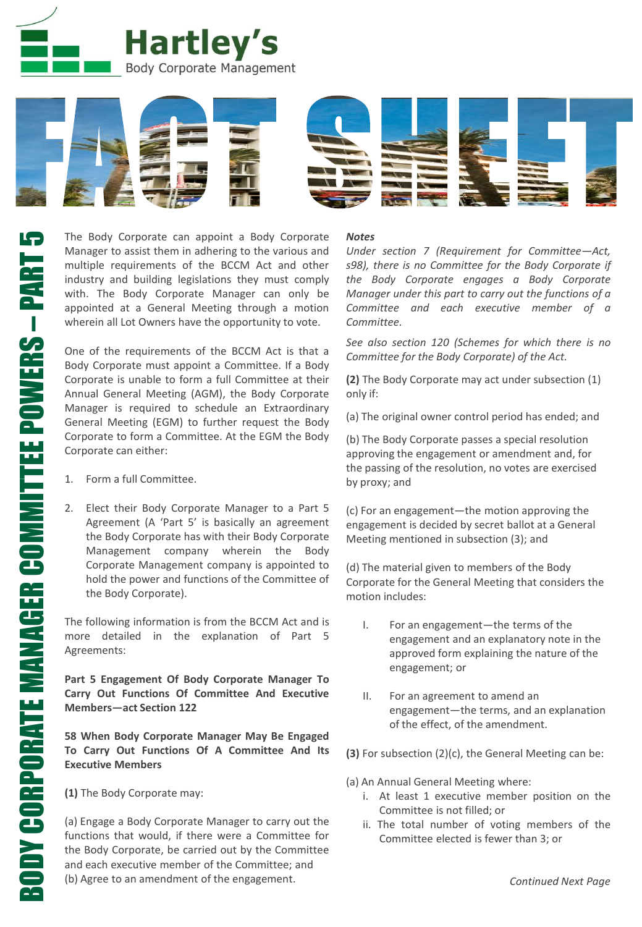



The Body Corporate can appoint a Body Corporate Manager to assist them in adhering to the various and multiple requirements of the BCCM Act and other industry and building legislations they must comply with. The Body Corporate Manager can only be appointed at a General Meeting through a motion wherein all Lot Owners have the opportunity to vote.

One of the requirements of the BCCM Act is that a Body Corporate must appoint a Committee. If a Body Corporate is unable to form a full Committee at their Annual General Meeting (AGM), the Body Corporate Manager is required to schedule an Extraordinary General Meeting (EGM) to further request the Body Corporate to form a Committee. At the EGM the Body Corporate can either:

- 1. Form a full Committee.
- 2. Elect their Body Corporate Manager to a Part 5 Agreement (A 'Part 5' is basically an agreement the Body Corporate has with their Body Corporate Management company wherein the Body Corporate Management company is appointed to hold the power and functions of the Committee of the Body Corporate).

The following information is from the BCCM Act and is more detailed in the explanation of Part 5 Agreements:

**Part 5 Engagement Of Body Corporate Manager To Carry Out Functions Of Committee And Executive Members—act Section 122**

**58 When Body Corporate Manager May Be Engaged To Carry Out Functions Of A Committee And Its Executive Members**

**(1)** The Body Corporate may:

(a) Engage a Body Corporate Manager to carry out the functions that would, if there were a Committee for the Body Corporate, be carried out by the Committee and each executive member of the Committee; and (b) Agree to an amendment of the engagement.

### *Notes*

*Under section 7 (Requirement for Committee—Act, s98), there is no Committee for the Body Corporate if the Body Corporate engages a Body Corporate Manager under this part to carry out the functions of a Committee and each executive member of a Committee.*

*See also section 120 (Schemes for which there is no Committee for the Body Corporate) of the Act.*

**(2)** The Body Corporate may act under subsection (1) only if:

(a) The original owner control period has ended; and

(b) The Body Corporate passes a special resolution approving the engagement or amendment and, for the passing of the resolution, no votes are exercised by proxy; and

(c) For an engagement—the motion approving the engagement is decided by secret ballot at a General Meeting mentioned in subsection (3); and

(d) The material given to members of the Body Corporate for the General Meeting that considers the motion includes:

- I. For an engagement—the terms of the engagement and an explanatory note in the approved form explaining the nature of the engagement; or
- II. For an agreement to amend an engagement—the terms, and an explanation of the effect, of the amendment.
- **(3)** For subsection (2)(c), the General Meeting can be:
- (a) An Annual General Meeting where:
	- i. At least 1 executive member position on the Committee is not filled; or
	- ii. The total number of voting members of the Committee elected is fewer than 3; or

BODY CORPORATE MANAGER COMMITTEE POWERS

BODY CORPORATE MANAGER COMMITTEE POWERS – PART 5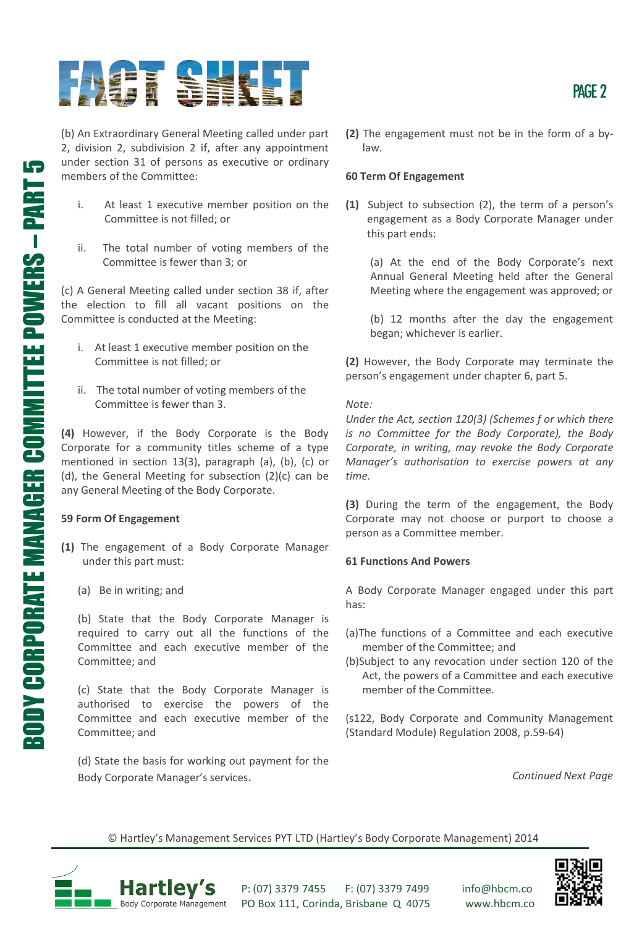# HET SEKL

(b) An Extraordinary General Meeting called under part 2, division 2, subdivision 2 if, after any appointment under section 31 of persons as executive or ordinary members of the Committee:

- i. At least 1 executive member position on the Committee is not filled; or
- ii. The total number of voting members of the Committee is fewer than 3; or

(c) A General Meeting called under section 38 if, after the election to fill all vacant positions on the Committee is conducted at the Meeting:

- i. At least 1 executive member position on the Committee is not filled; or
- ii. The total number of voting members of the Committee is fewer than 3.

**(4)** However, if the Body Corporate is the Body Corporate for a community titles scheme of a type mentioned in section 13(3), paragraph (a), (b), (c) or (d), the General Meeting for subsection (2)(c) can be any General Meeting of the Body Corporate.

# **59 Form Of Engagement**

- **(1)** The engagement of a Body Corporate Manager under this part must:
	- (a) Be in writing; and

(b) State that the Body Corporate Manager is required to carry out all the functions of the Committee and each executive member of the Committee; and

(c) State that the Body Corporate Manager is authorised to exercise the powers of the Committee and each executive member of the Committee; and

(d) State the basis for working out payment for the Body Corporate Manager's services.

**(2)** The engagement must not be in the form of a bylaw.

### **60 Term Of Engagement**

**(1)** Subject to subsection (2), the term of a person's engagement as a Body Corporate Manager under this part ends:

(a) At the end of the Body Corporate's next Annual General Meeting held after the General Meeting where the engagement was approved; or

(b) 12 months after the day the engagement began; whichever is earlier.

**(2)** However, the Body Corporate may terminate the person's engagement under chapter 6, part 5.

*Note:*

*Under the Act, section 120(3) (Schemes f or which there is no Committee for the Body Corporate), the Body Corporate, in writing, may revoke the Body Corporate Manager's authorisation to exercise powers at any time.*

**(3)** During the term of the engagement, the Body Corporate may not choose or purport to choose a person as a Committee member.

# **61 Functions And Powers**

A Body Corporate Manager engaged under this part has:

- (a)The functions of a Committee and each executive member of the Committee; and
- (b)Subject to any revocation under section 120 of the Act, the powers of a Committee and each executive member of the Committee.

(s122, Body Corporate and Community Management (Standard Module) Regulation 2008, p.59-64)

*Continued Next Page*

© Hartley's Management Services PYT LTD (Hartley's Body Corporate Management) 2014



P: (07) 3379 7455 F: (07) 3379 7499 info@hbcm.co PO Box 111, Corinda, Brisbane Q 4075 www.hbcm.co



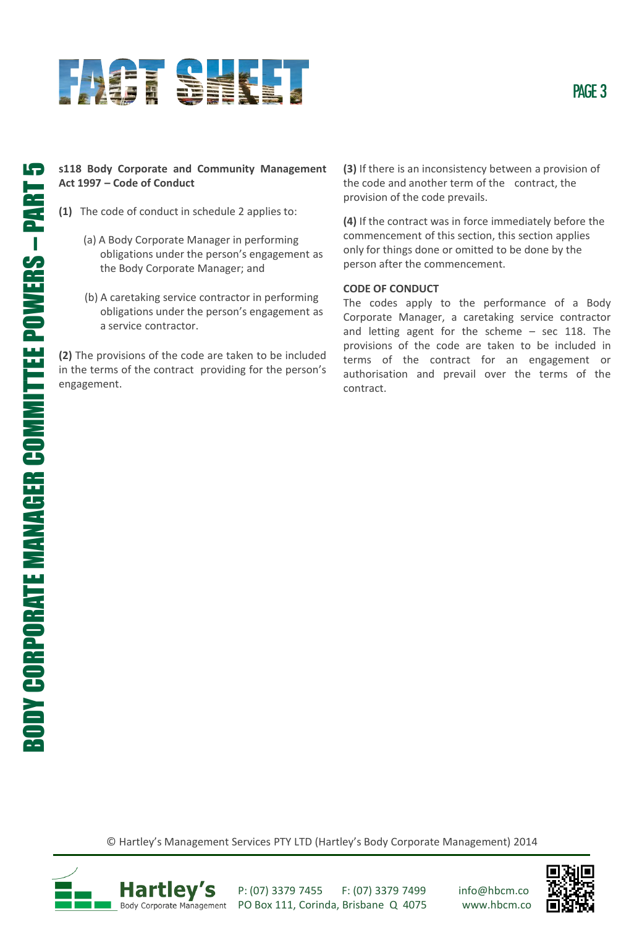

# **s118 Body Corporate and Community Management Act 1997 – Code of Conduct**

- **(1)** The code of conduct in schedule 2 applies to:
	- (a) A Body Corporate Manager in performing obligations under the person's engagement as the Body Corporate Manager; and
	- (b) A caretaking service contractor in performing obligations under the person's engagement as a service contractor.

**(2)** The provisions of the code are taken to be included in the terms of the contract providing for the person's engagement.

**(3)** If there is an inconsistency between a provision of the code and another term of the contract, the provision of the code prevails.

**(4)** If the contract was in force immediately before the commencement of this section, this section applies only for things done or omitted to be done by the person after the commencement.

# **CODE OF CONDUCT**

The codes apply to the performance of a Body Corporate Manager, a caretaking service contractor and letting agent for the scheme – sec 118. The provisions of the code are taken to be included in terms of the contract for an engagement or authorisation and prevail over the terms of the contract.

© Hartley's Management Services PTY LTD (Hartley's Body Corporate Management) 2014



P: (07) 3379 7455 F: (07) 3379 7499 info@hbcm.co PO Box 111, Corinda, Brisbane Q 4075 www.hbcm.co